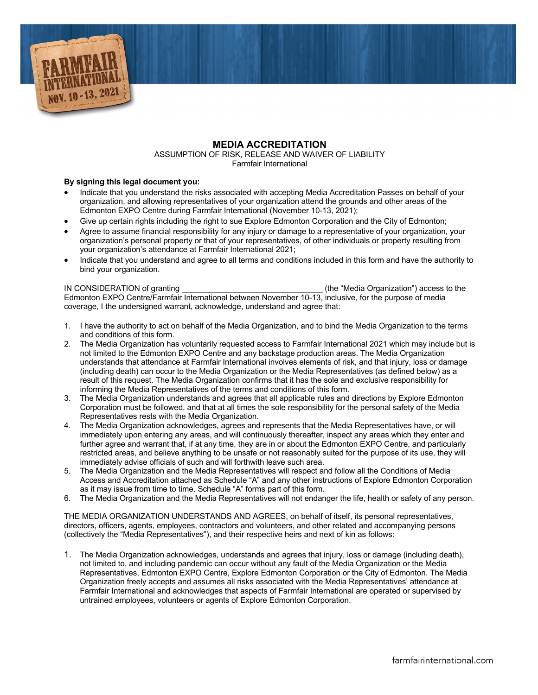

## **MEDIA ACCREDITATION**

ASSUMPTION OF RISK, RELEASE AND WAIVER OF LIABILITY Farmfair International

## **By signing this legal document you:**

- Indicate that you understand the risks associated with accepting Media Accreditation Passes on behalf of your organization, and allowing representatives of your organization attend the grounds and other areas of the Edmonton EXPO Centre during Farmfair International (November 10-13, 2021);
- Give up certain rights including the right to sue Explore Edmonton Corporation and the City of Edmonton;
- Agree to assume financial responsibility for any injury or damage to a representative of your organization, your organization's personal property or that of your representatives, of other individuals or property resulting from your organization's attendance at Farmfair International 2021;
- Indicate that you understand and agree to all terms and conditions included in this form and have the authority to bind your organization.

IN CONSIDERATION of granting \_\_\_\_\_\_\_\_\_\_\_\_\_\_\_\_\_\_\_\_\_\_\_\_\_\_\_\_\_\_\_\_ (the "Media Organization") access to the Edmonton EXPO Centre/Farmfair International between November 10-13, inclusive, for the purpose of media coverage, I the undersigned warrant, acknowledge, understand and agree that:

- 1. I have the authority to act on behalf of the Media Organization, and to bind the Media Organization to the terms and conditions of this form.
- 2. The Media Organization has voluntarily requested access to Farmfair International 2021 which may include but is not limited to the Edmonton EXPO Centre and any backstage production areas. The Media Organization understands that attendance at Farmfair International involves elements of risk, and that injury, loss or damage (including death) can occur to the Media Organization or the Media Representatives (as defined below) as a result of this request. The Media Organization confirms that it has the sole and exclusive responsibility for informing the Media Representatives of the terms and conditions of this form.
- 3. The Media Organization understands and agrees that all applicable rules and directions by Explore Edmonton Corporation must be followed, and that at all times the sole responsibility for the personal safety of the Media Representatives rests with the Media Organization.
- 4. The Media Organization acknowledges, agrees and represents that the Media Representatives have, or will immediately upon entering any areas, and will continuously thereafter, inspect any areas which they enter and further agree and warrant that, if at any time, they are in or about the Edmonton EXPO Centre, and particularly restricted areas, and believe anything to be unsafe or not reasonably suited for the purpose of its use, they will immediately advise officials of such and will forthwith leave such area.
- 5. The Media Organization and the Media Representatives will respect and follow all the Conditions of Media Access and Accreditation attached as Schedule "A" and any other instructions of Explore Edmonton Corporation as it may issue from time to time. Schedule "A" forms part of this form.
- 6. The Media Organization and the Media Representatives will not endanger the life, health or safety of any person.

THE MEDIA ORGANIZATION UNDERSTANDS AND AGREES, on behalf of itself, its personal representatives, directors, officers, agents, employees, contractors and volunteers, and other related and accompanying persons (collectively the "Media Representatives"), and their respective heirs and next of kin as follows:

1. The Media Organization acknowledges, understands and agrees that injury, loss or damage (including death), not limited to, and including pandemic can occur without any fault of the Media Organization or the Media Representatives, Edmonton EXPO Centre, Explore Edmonton Corporation or the City of Edmonton. The Media Organization freely accepts and assumes all risks associated with the Media Representatives' attendance at Farmfair International and acknowledges that aspects of Farmfair International are operated or supervised by untrained employees, volunteers or agents of Explore Edmonton Corporation.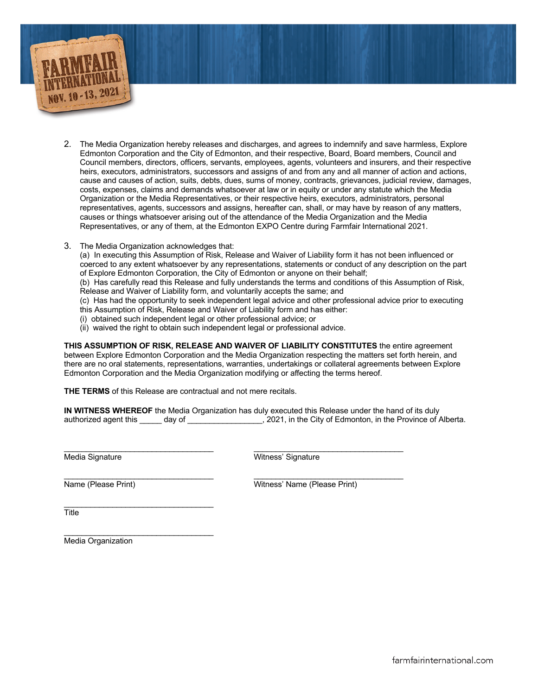

- 2. The Media Organization hereby releases and discharges, and agrees to indemnify and save harmless, Explore Edmonton Corporation and the City of Edmonton, and their respective, Board, Board members, Council and Council members, directors, officers, servants, employees, agents, volunteers and insurers, and their respective heirs, executors, administrators, successors and assigns of and from any and all manner of action and actions, cause and causes of action, suits, debts, dues, sums of money, contracts, grievances, judicial review, damages, costs, expenses, claims and demands whatsoever at law or in equity or under any statute which the Media Organization or the Media Representatives, or their respective heirs, executors, administrators, personal representatives, agents, successors and assigns, hereafter can, shall, or may have by reason of any matters, causes or things whatsoever arising out of the attendance of the Media Organization and the Media Representatives, or any of them, at the Edmonton EXPO Centre during Farmfair International 2021.
- 3. The Media Organization acknowledges that:

(a) In executing this Assumption of Risk, Release and Waiver of Liability form it has not been influenced or coerced to any extent whatsoever by any representations, statements or conduct of any description on the part of Explore Edmonton Corporation, the City of Edmonton or anyone on their behalf;

(b) Has carefully read this Release and fully understands the terms and conditions of this Assumption of Risk, Release and Waiver of Liability form, and voluntarily accepts the same; and

(c) Has had the opportunity to seek independent legal advice and other professional advice prior to executing this Assumption of Risk, Release and Waiver of Liability form and has either:

- (i) obtained such independent legal or other professional advice; or
- (ii) waived the right to obtain such independent legal or professional advice.

**THIS ASSUMPTION OF RISK, RELEASE AND WAIVER OF LIABILITY CONSTITUTES** the entire agreement between Explore Edmonton Corporation and the Media Organization respecting the matters set forth herein, and there are no oral statements, representations, warranties, undertakings or collateral agreements between Explore Edmonton Corporation and the Media Organization modifying or affecting the terms hereof.

**THE TERMS** of this Release are contractual and not mere recitals.

**IN WITNESS WHEREOF** the Media Organization has duly executed this Release under the hand of its duly authorized agent this \_\_\_\_\_ day of \_\_\_\_\_\_\_\_\_\_\_\_\_\_\_\_\_, 2021, in the City of Edmonton, in the Province of Alberta.

 $\_$  , and the state of the state of the state of the state of the state of the state of the state of the state of the state of the state of the state of the state of the state of the state of the state of the state of the

Media Signature **Media Signature** Witness' Signature

 $\frac{1}{2}$  ,  $\frac{1}{2}$  ,  $\frac{1}{2}$  ,  $\frac{1}{2}$  ,  $\frac{1}{2}$  ,  $\frac{1}{2}$  ,  $\frac{1}{2}$  ,  $\frac{1}{2}$  ,  $\frac{1}{2}$  ,  $\frac{1}{2}$  ,  $\frac{1}{2}$  ,  $\frac{1}{2}$  ,  $\frac{1}{2}$  ,  $\frac{1}{2}$  ,  $\frac{1}{2}$  ,  $\frac{1}{2}$  ,  $\frac{1}{2}$  ,  $\frac{1}{2}$  ,  $\frac{1$ Name (Please Print) Witness' Name (Please Print)

\_\_\_\_\_\_\_\_\_\_\_\_\_\_\_\_\_\_\_\_\_\_\_\_\_\_\_\_\_\_\_\_\_\_ **Title** 

\_\_\_\_\_\_\_\_\_\_\_\_\_\_\_\_\_\_\_\_\_\_\_\_\_\_\_\_\_\_\_\_\_\_ Media Organization